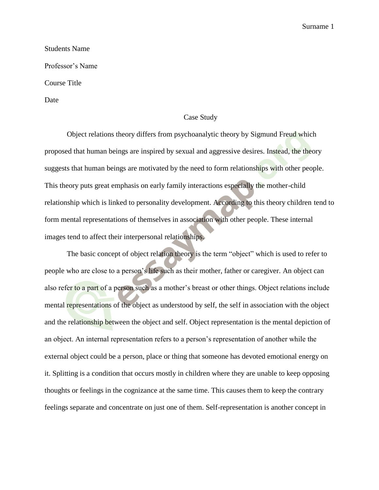Students Name Professor's Name Course Title

Date

## Case Study

Object relations theory differs from psychoanalytic theory by Sigmund Freud which proposed that human beings are inspired by sexual and aggressive desires. Instead, the theory suggests that human beings are motivated by the need to form relationships with other people. This theory puts great emphasis on early family interactions especially the mother-child relationship which is linked to personality development. According to this theory children tend to form mental representations of themselves in association with other people. These internal images tend to affect their interpersonal relationships.

The basic concept of object relation theory is the term "object" which is used to refer to people who are close to a person's life such as their mother, father or caregiver. An object can also refer to a part of a person such as a mother's breast or other things. Object relations include mental representations of the object as understood by self, the self in association with the object and the relationship between the object and self. Object representation is the mental depiction of an object. An internal representation refers to a person's representation of another while the external object could be a person, place or thing that someone has devoted emotional energy on it. Splitting is a condition that occurs mostly in children where they are unable to keep opposing thoughts or feelings in the cognizance at the same time. This causes them to keep the contrary feelings separate and concentrate on just one of them. Self-representation is another concept in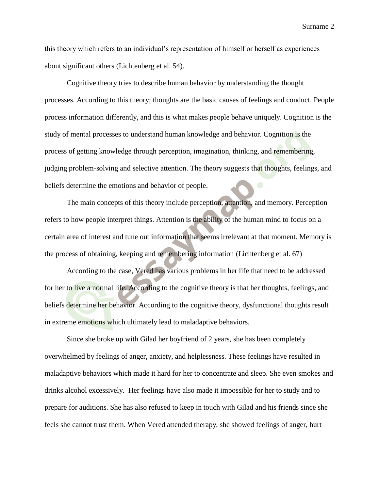this theory which refers to an individual's representation of himself or herself as experiences about significant others (Lichtenberg et al. 54).

Cognitive theory tries to describe human behavior by understanding the thought processes. According to this theory; thoughts are the basic causes of feelings and conduct. People process information differently, and this is what makes people behave uniquely. Cognition is the study of mental processes to understand human knowledge and behavior. Cognition is the process of getting knowledge through perception, imagination, thinking, and remembering, judging problem-solving and selective attention. The theory suggests that thoughts, feelings, and beliefs determine the emotions and behavior of people.

The main concepts of this theory include perception, attention, and memory. Perception refers to how people interpret things. Attention is the ability of the human mind to focus on a certain area of interest and tune out information that seems irrelevant at that moment. Memory is the process of obtaining, keeping and remembering information (Lichtenberg et al. 67)

According to the case, Vered has various problems in her life that need to be addressed for her to live a normal life. According to the cognitive theory is that her thoughts, feelings, and beliefs determine her behavior. According to the cognitive theory, dysfunctional thoughts result in extreme emotions which ultimately lead to maladaptive behaviors.

Since she broke up with Gilad her boyfriend of 2 years, she has been completely overwhelmed by feelings of anger, anxiety, and helplessness. These feelings have resulted in maladaptive behaviors which made it hard for her to concentrate and sleep. She even smokes and drinks alcohol excessively. Her feelings have also made it impossible for her to study and to prepare for auditions. She has also refused to keep in touch with Gilad and his friends since she feels she cannot trust them. When Vered attended therapy, she showed feelings of anger, hurt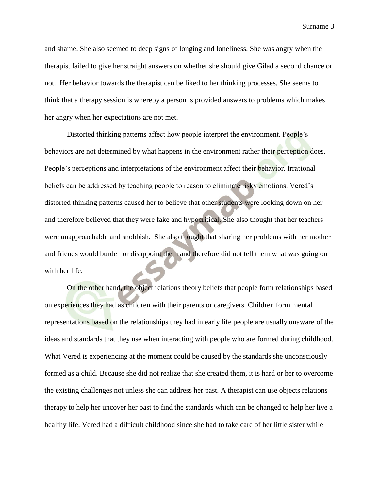and shame. She also seemed to deep signs of longing and loneliness. She was angry when the therapist failed to give her straight answers on whether she should give Gilad a second chance or not. Her behavior towards the therapist can be liked to her thinking processes. She seems to think that a therapy session is whereby a person is provided answers to problems which makes her angry when her expectations are not met.

Distorted thinking patterns affect how people interpret the environment. People's behaviors are not determined by what happens in the environment rather their perception does. People's perceptions and interpretations of the environment affect their behavior. Irrational beliefs can be addressed by teaching people to reason to eliminate risky emotions. Vered's distorted thinking patterns caused her to believe that other students were looking down on her and therefore believed that they were fake and hypocritical. She also thought that her teachers were unapproachable and snobbish. She also thought that sharing her problems with her mother and friends would burden or disappoint them and therefore did not tell them what was going on with her life.

On the other hand, the object relations theory beliefs that people form relationships based on experiences they had as children with their parents or caregivers. Children form mental representations based on the relationships they had in early life people are usually unaware of the ideas and standards that they use when interacting with people who are formed during childhood. What Vered is experiencing at the moment could be caused by the standards she unconsciously formed as a child. Because she did not realize that she created them, it is hard or her to overcome the existing challenges not unless she can address her past. A therapist can use objects relations therapy to help her uncover her past to find the standards which can be changed to help her live a healthy life. Vered had a difficult childhood since she had to take care of her little sister while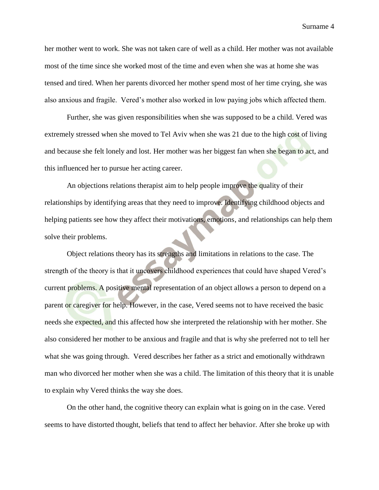her mother went to work. She was not taken care of well as a child. Her mother was not available most of the time since she worked most of the time and even when she was at home she was tensed and tired. When her parents divorced her mother spend most of her time crying, she was also anxious and fragile. Vered's mother also worked in low paying jobs which affected them.

Further, she was given responsibilities when she was supposed to be a child. Vered was extremely stressed when she moved to Tel Aviv when she was 21 due to the high cost of living and because she felt lonely and lost. Her mother was her biggest fan when she began to act, and this influenced her to pursue her acting career.

An objections relations therapist aim to help people improve the quality of their relationships by identifying areas that they need to improve. Identifying childhood objects and helping patients see how they affect their motivations, emotions, and relationships can help them solve their problems.

Object relations theory has its strengths and limitations in relations to the case. The strength of the theory is that it uncovers childhood experiences that could have shaped Vered's current problems. A positive mental representation of an object allows a person to depend on a parent or caregiver for help. However, in the case, Vered seems not to have received the basic needs she expected, and this affected how she interpreted the relationship with her mother. She also considered her mother to be anxious and fragile and that is why she preferred not to tell her what she was going through. Vered describes her father as a strict and emotionally withdrawn man who divorced her mother when she was a child. The limitation of this theory that it is unable to explain why Vered thinks the way she does.

On the other hand, the cognitive theory can explain what is going on in the case. Vered seems to have distorted thought, beliefs that tend to affect her behavior. After she broke up with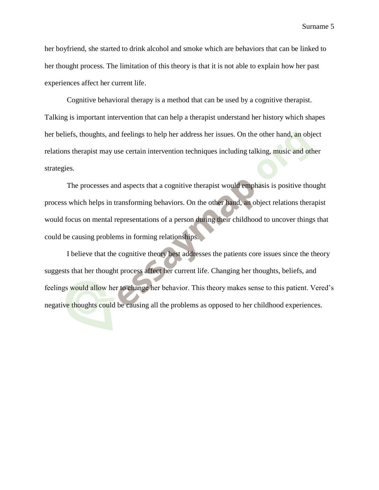her boyfriend, she started to drink alcohol and smoke which are behaviors that can be linked to her thought process. The limitation of this theory is that it is not able to explain how her past experiences affect her current life.

Cognitive behavioral therapy is a method that can be used by a cognitive therapist. Talking is important intervention that can help a therapist understand her history which shapes her beliefs, thoughts, and feelings to help her address her issues. On the other hand, an object relations therapist may use certain intervention techniques including talking, music and other strategies.

The processes and aspects that a cognitive therapist would emphasis is positive thought process which helps in transforming behaviors. On the other hand, an object relations therapist would focus on mental representations of a person during their childhood to uncover things that could be causing problems in forming relationships.

I believe that the cognitive theory best addresses the patients core issues since the theory suggests that her thought process affect her current life. Changing her thoughts, beliefs, and feelings would allow her to change her behavior. This theory makes sense to this patient. Vered's negative thoughts could be causing all the problems as opposed to her childhood experiences.